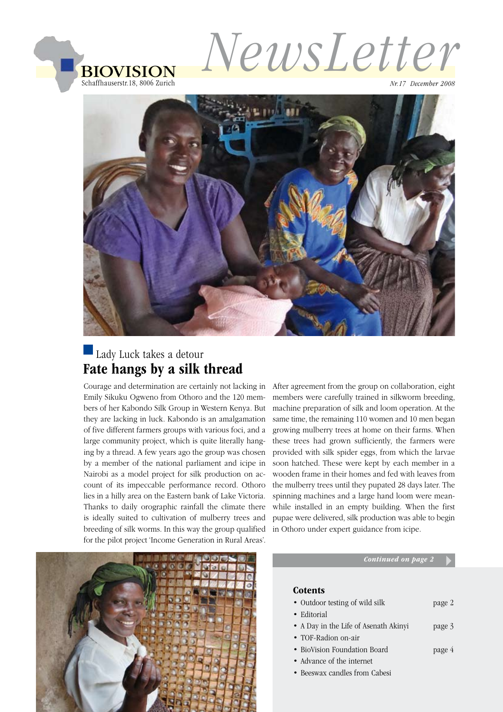

*NewsLetter*

*Nr.17 December 2008*



## Lady Luck takes a detour Fate hangs by a silk thread

Courage and determination are certainly not lacking in Emily Sikuku Ogweno from Othoro and the 120 members of her Kabondo Silk Group in Western Kenya. But they are lacking in luck. Kabondo is an amalgamation of five different farmers groups with various foci, and a large community project, which is quite literally hanging by a thread. A few years ago the group was chosen by a member of the national parliament and icipe in Nairobi as a model project for silk production on account of its impeccable performance record. Othoro lies in a hilly area on the Eastern bank of Lake Victoria. Thanks to daily orographic rainfall the climate there is ideally suited to cultivation of mulberry trees and breeding of silk worms. In this way the group qualified for the pilot project 'Income Generation in Rural Areas'.

After agreement from the group on collaboration, eight members were carefully trained in silkworm breeding, machine preparation of silk and loom operation. At the same time, the remaining 110 women and 10 men began growing mulberry trees at home on their farms. When these trees had grown sufficiently, the farmers were provided with silk spider eggs, from which the larvae soon hatched. These were kept by each member in a wooden frame in their homes and fed with leaves from the mulberry trees until they pupated 28 days later. The spinning machines and a large hand loom were meanwhile installed in an empty building. When the first pupae were delivered, silk production was able to begin in Othoro under expert guidance from icipe.



#### *Continued on page 2*

#### **Cotents**

- Outdoor testing of wild silk page 2
- Editorial
- A Day in the Life of Asenath Akinyi page 3
- TOF-Radion on-air
- BioVision Foundation Board **page 4**
- Advance of the internet
- • Beeswax candles from Cabesi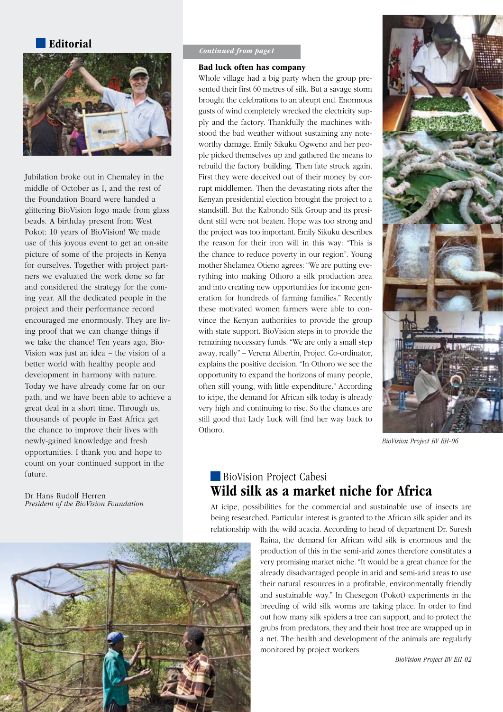#### Editorial



Jubilation broke out in Chemaley in the middle of October as I, and the rest of the Foundation Board were handed a glittering BioVision logo made from glass beads. A birthday present from West Pokot: 10 years of BioVision! We made use of this joyous event to get an on-site picture of some of the projects in Kenya for ourselves. Together with project partners we evaluated the work done so far and considered the strategy for the coming year. All the dedicated people in the project and their performance record encouraged me enormously. They are living proof that we can change things if we take the chance! Ten years ago, Bio-Vision was just an idea – the vision of a better world with healthy people and development in harmony with nature. Today we have already come far on our path, and we have been able to achieve a great deal in a short time. Through us, thousands of people in East Africa get the chance to improve their lives with newly-gained knowledge and fresh opportunities. I thank you and hope to count on your continued support in the future.

Dr Hans Rudolf Herren *President of the BioVision Foundation*

#### *Continued from page1*

#### Bad luck often has company

Whole village had a big party when the group presented their first 60 metres of silk. But a savage storm brought the celebrations to an abrupt end. Enormous gusts of wind completely wrecked the electricity supply and the factory. Thankfully the machines withstood the bad weather without sustaining any noteworthy damage. Emily Sikuku Ogweno and her people picked themselves up and gathered the means to rebuild the factory building. Then fate struck again. First they were deceived out of their money by corrupt middlemen. Then the devastating riots after the Kenyan presidential election brought the project to a standstill. But the Kabondo Silk Group and its president still were not beaten. Hope was too strong and the project was too important. Emily Sikuku describes the reason for their iron will in this way: "This is the chance to reduce poverty in our region". Young mother Shelamea Otieno agrees: "We are putting everything into making Othoro a silk production area and into creating new opportunities for income generation for hundreds of farming families." Recently these motivated women farmers were able to convince the Kenyan authorities to provide the group with state support. BioVision steps in to provide the remaining necessary funds. "We are only a small step away, really" – Verena Albertin, Project Co-ordinator, explains the positive decision. "In Othoro we see the opportunity to expand the horizons of many people, often still young, with little expenditure." According to icipe, the demand for African silk today is already very high and continuing to rise. So the chances are still good that Lady Luck will find her way back to Othoro.



*BioVision Project BV EH-06*

### BioVision Project Cabesi Wild silk as a market niche for Africa

At icipe, possibilities for the commercial and sustainable use of insects are being researched. Particular interest is granted to the African silk spider and its relationship with the wild acacia. According to head of department Dr. Suresh

> Raina, the demand for African wild silk is enormous and the production of this in the semi-arid zones therefore constitutes a very promising market niche. "It would be a great chance for the already disadvantaged people in arid and semi-arid areas to use their natural resources in a profitable, environmentally friendly and sustainable way." In Chesegon (Pokot) experiments in the breeding of wild silk worms are taking place. In order to find out how many silk spiders a tree can support, and to protect the grubs from predators, they and their host tree are wrapped up in a net. The health and development of the animals are regularly monitored by project workers.

> > *BioVision Project BV EH-02*

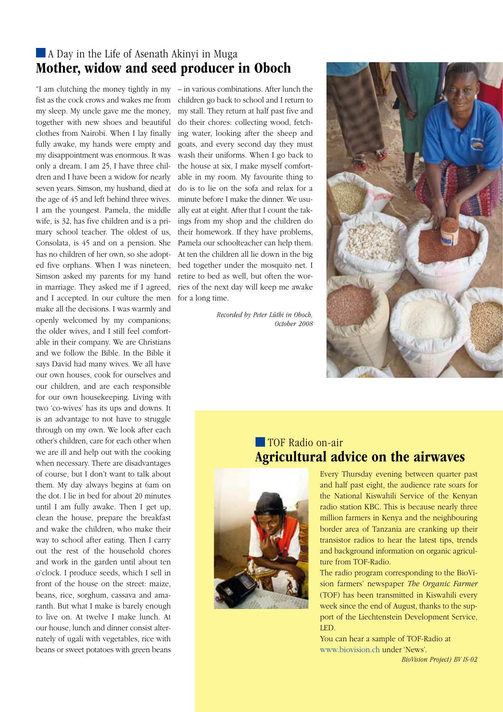### A Day in the Life of Asenath Akinyi in Muga Mother, widow and seed producer in Oboch

"I am clutching the money tightly in my – in various combinations. After lunch the fist as the cock crows and wakes me from my sleep. My uncle gave me the money, together with new shoes and beautiful clothes from Nairobi. When I lay finally fully awake, my hands were empty and my disappointment was enormous. It was only a dream. I am 25, I have three children and I have been a widow for nearly seven years. Simson, my husband, died at the age of 45 and left behind three wives. I am the youngest. Pamela, the middle wife, is 32, has five children and is a primary school teacher. The oldest of us, Consolata, is 45 and on a pension. She has no children of her own, so she adopted five orphans. When I was nineteen, Simson asked my parents for my hand in marriage. They asked me if I agreed, and I accepted. In our culture the men make all the decisions. I was warmly and openly welcomed by my companions; the older wives, and I still feel comfortable in their company. We are Christians and we follow the Bible. In the Bible it says David had many wives. We all have our own houses, cook for ourselves and our children, and are each responsible for our own housekeeping. Living with two 'co-wives' has its ups and downs. It is an advantage to not have to struggle through on my own. We look after each other's children, care for each other when we are ill and help out with the cooking when necessary. There are disadvantages of course, but I don't want to talk about them. My day always begins at 6am on the dot. I lie in bed for about 20 minutes until I am fully awake. Then I get up, clean the house, prepare the breakfast and wake the children, who make their way to school after eating. Then I carry out the rest of the household chores and work in the garden until about ten o'clock. I produce seeds, which I sell in front of the house on the street: maize, beans, rice, sorghum, cassava and amaranth. But what I make is barely enough to live on. At twelve I make lunch. At our house, lunch and dinner consist alternately of ugali with vegetables, rice with beans or sweet potatoes with green beans

children go back to school and I return to my stall. They return at half past five and do their chores: collecting wood, fetching water, looking after the sheep and goats, and every second day they must wash their uniforms. When I go back to the house at six, I make myself comfortable in my room. My favourite thing to do is to lie on the sofa and relax for a minute before I make the dinner. We usually eat at eight. After that I count the takings from my shop and the children do their homework. If they have problems, Pamela our schoolteacher can help them. At ten the children all lie down in the big bed together under the mosquito net. I retire to bed as well, but often the worries of the next day will keep me awake for a long time.

> *Recorded by Peter Lüthi in Oboch, October 2008*



## **TOF Radio on-air** Agricultural advice on the airwaves



Every Thursday evening between quarter past and half past eight, the audience rate soars for the National Kiswahili Service of the Kenyan radio station KBC. This is because nearly three million farmers in Kenya and the neighbouring border area of Tanzania are cranking up their transistor radios to hear the latest tips, trends and background information on organic agriculture from TOF-Radio.

The radio program corresponding to the BioVision farmers' newspaper *The Organic Farmer* (TOF) has been transmitted in Kiswahili every week since the end of August, thanks to the support of the Liechtenstein Development Service, LED.

You can hear a sample of TOF-Radio at www.biovision.ch under 'News'. *BioVision Project) BV IS-02*